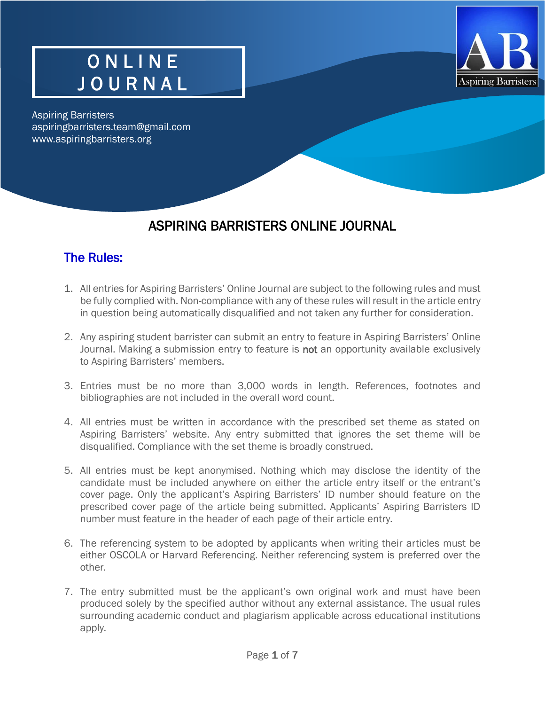

## O N L I N E J O U R N A L

Aspiring Barristers aspiringbarristers.team@gmail.com www.aspiringbarristers.org

#### ASPIRING BARRISTERS ONLINE JOURNAL

#### The Rules:

- 1. All entries for Aspiring Barristers' Online Journal are subject to the following rules and must be fully complied with. Non-compliance with any of these rules will result in the article entry in question being automatically disqualified and not taken any further for consideration.
- 2. Any aspiring student barrister can submit an entry to feature in Aspiring Barristers' Online Journal. Making a submission entry to feature is not an opportunity available exclusively to Aspiring Barristers' members.
- 3. Entries must be no more than 3,000 words in length. References, footnotes and bibliographies are not included in the overall word count.
- 4. All entries must be written in accordance with the prescribed set theme as stated on Aspiring Barristers' website. Any entry submitted that ignores the set theme will be disqualified. Compliance with the set theme is broadly construed.
- 5. All entries must be kept anonymised. Nothing which may disclose the identity of the candidate must be included anywhere on either the article entry itself or the entrant's cover page. Only the applicant's Aspiring Barristers' ID number should feature on the prescribed cover page of the article being submitted. Applicants' Aspiring Barristers ID number must feature in the header of each page of their article entry.
- 6. The referencing system to be adopted by applicants when writing their articles must be either OSCOLA or Harvard Referencing. Neither referencing system is preferred over the other.
- 7. The entry submitted must be the applicant's own original work and must have been produced solely by the specified author without any external assistance. The usual rules surrounding academic conduct and plagiarism applicable across educational institutions apply.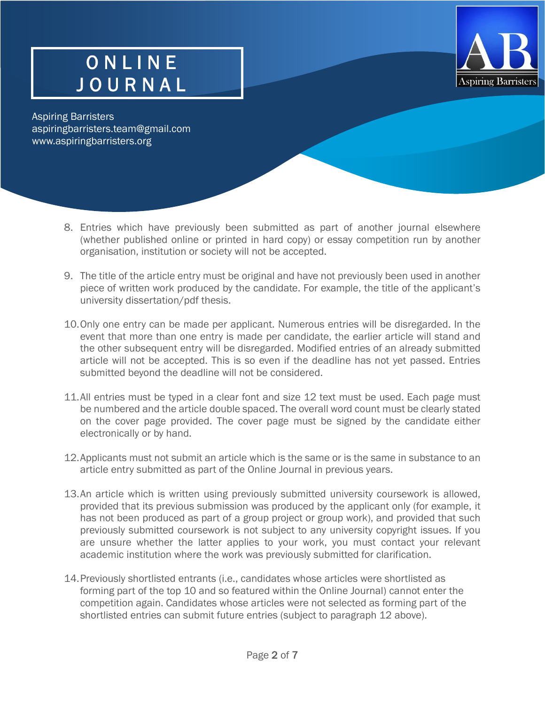

Aspiring Barristers aspiringbarristers.team@gmail.com [www.aspiringbarristers.org](http://www.aspiringbarristers.com/)

- 8. Entries which have previously been submitted as part of another journal elsewhere (whether published online or printed in hard copy) or essay competition run by another organisation, institution or society will not be accepted.
- 9. The title of the article entry must be original and have not previously been used in another piece of written work produced by the candidate. For example, the title of the applicant's university dissertation/pdf thesis.
- 10.Only one entry can be made per applicant. Numerous entries will be disregarded. In the event that more than one entry is made per candidate, the earlier article will stand and the other subsequent entry will be disregarded. Modified entries of an already submitted article will not be accepted. This is so even if the deadline has not yet passed. Entries submitted beyond the deadline will not be considered.
- 11.All entries must be typed in a clear font and size 12 text must be used. Each page must be numbered and the article double spaced. The overall word count must be clearly stated on the cover page provided. The cover page must be signed by the candidate either electronically or by hand.
- 12.Applicants must not submit an article which is the same or is the same in substance to an article entry submitted as part of the Online Journal in previous years.
- 13.An article which is written using previously submitted university coursework is allowed, provided that its previous submission was produced by the applicant only (for example, it has not been produced as part of a group project or group work), and provided that such previously submitted coursework is not subject to any university copyright issues. If you are unsure whether the latter applies to your work, you must contact your relevant academic institution where the work was previously submitted for clarification.
- 14.Previously shortlisted entrants (i.e., candidates whose articles were shortlisted as forming part of the top 10 and so featured within the Online Journal) cannot enter the competition again. Candidates whose articles were not selected as forming part of the shortlisted entries can submit future entries (subject to paragraph 12 above).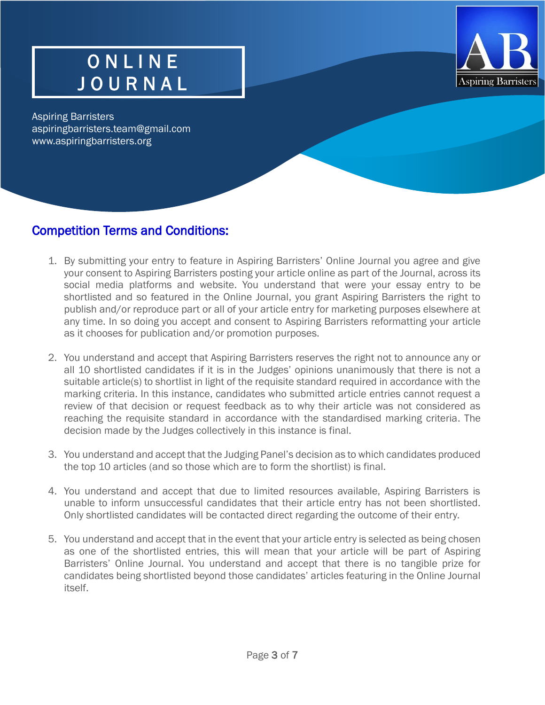

## O N L I N E J O U R N A L

Aspiring Barristers aspiringbarristers.team@gmail.com www.aspiringbarristers.org

j

#### Competition Terms and Conditions:

- 1. By submitting your entry to feature in Aspiring Barristers' Online Journal you agree and give your consent to Aspiring Barristers posting your article online as part of the Journal, across its social media platforms and website. You understand that were your essay entry to be shortlisted and so featured in the Online Journal, you grant Aspiring Barristers the right to publish and/or reproduce part or all of your article entry for marketing purposes elsewhere at any time. In so doing you accept and consent to Aspiring Barristers reformatting your article as it chooses for publication and/or promotion purposes.
- 2. You understand and accept that Aspiring Barristers reserves the right not to announce any or all 10 shortlisted candidates if it is in the Judges' opinions unanimously that there is not a suitable article(s) to shortlist in light of the requisite standard required in accordance with the marking criteria. In this instance, candidates who submitted article entries cannot request a review of that decision or request feedback as to why their article was not considered as reaching the requisite standard in accordance with the standardised marking criteria. The decision made by the Judges collectively in this instance is final.
- 3. You understand and accept that the Judging Panel's decision as to which candidates produced the top 10 articles (and so those which are to form the shortlist) is final.
- 4. You understand and accept that due to limited resources available, Aspiring Barristers is unable to inform unsuccessful candidates that their article entry has not been shortlisted. Only shortlisted candidates will be contacted direct regarding the outcome of their entry.
- 5. You understand and accept that in the event that your article entry is selected as being chosen as one of the shortlisted entries, this will mean that your article will be part of Aspiring Barristers' Online Journal. You understand and accept that there is no tangible prize for candidates being shortlisted beyond those candidates' articles featuring in the Online Journal itself.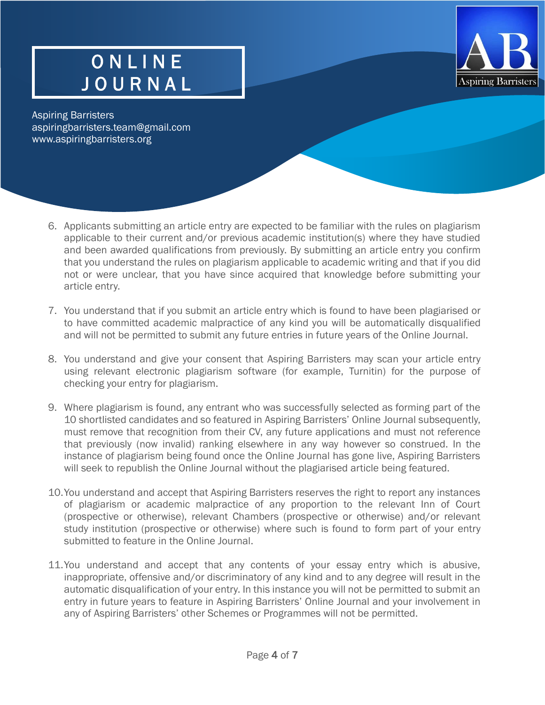

Aspiring Barristers aspiringbarristers.team@gmail.com www.aspiringbarristers.org

- 6. Applicants submitting an article entry are expected to be familiar with the rules on plagiarism applicable to their current and/or previous academic institution(s) where they have studied and been awarded qualifications from previously. By submitting an article entry you confirm that you understand the rules on plagiarism applicable to academic writing and that if you did not or were unclear, that you have since acquired that knowledge before submitting your article entry.
- 7. You understand that if you submit an article entry which is found to have been plagiarised or to have committed academic malpractice of any kind you will be automatically disqualified and will not be permitted to submit any future entries in future years of the Online Journal.
- 8. You understand and give your consent that Aspiring Barristers may scan your article entry using relevant electronic plagiarism software (for example, Turnitin) for the purpose of checking your entry for plagiarism.
- 9. Where plagiarism is found, any entrant who was successfully selected as forming part of the 10 shortlisted candidates and so featured in Aspiring Barristers' Online Journal subsequently, must remove that recognition from their CV, any future applications and must not reference that previously (now invalid) ranking elsewhere in any way however so construed. In the instance of plagiarism being found once the Online Journal has gone live, Aspiring Barristers will seek to republish the Online Journal without the plagiarised article being featured.
- 10.You understand and accept that Aspiring Barristers reserves the right to report any instances of plagiarism or academic malpractice of any proportion to the relevant Inn of Court (prospective or otherwise), relevant Chambers (prospective or otherwise) and/or relevant study institution (prospective or otherwise) where such is found to form part of your entry submitted to feature in the Online Journal.
- 11.You understand and accept that any contents of your essay entry which is abusive, inappropriate, offensive and/or discriminatory of any kind and to any degree will result in the automatic disqualification of your entry. In this instance you will not be permitted to submit an entry in future years to feature in Aspiring Barristers' Online Journal and your involvement in any of Aspiring Barristers' other Schemes or Programmes will not be permitted.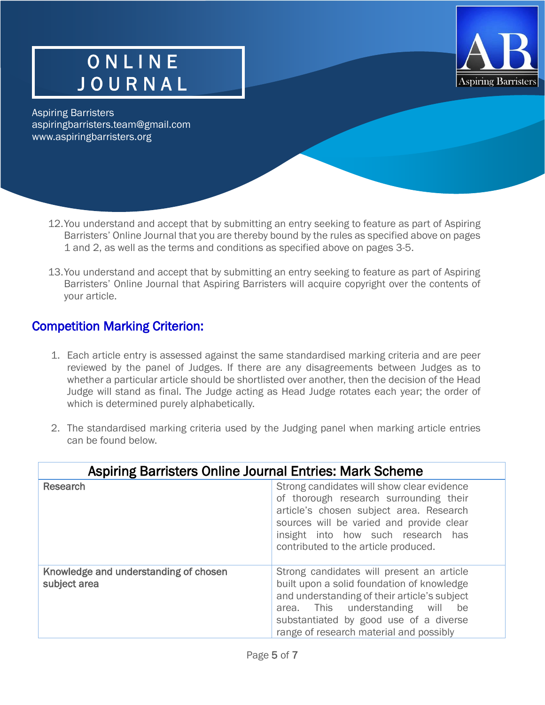

Aspiring Barristers aspiringbarristers.team@gmail.com www.aspiringbarristers.org

- 12.You understand and accept that by submitting an entry seeking to feature as part of Aspiring Barristers' Online Journal that you are thereby bound by the rules as specified above on pages 1 and 2, as well as the terms and conditions as specified above on pages 3-5.
- 13.You understand and accept that by submitting an entry seeking to feature as part of Aspiring Barristers' Online Journal that Aspiring Barristers will acquire copyright over the contents of your article.

#### Competition Marking Criterion:

- 1. Each article entry is assessed against the same standardised marking criteria and are peer reviewed by the panel of Judges. If there are any disagreements between Judges as to whether a particular article should be shortlisted over another, then the decision of the Head Judge will stand as final. The Judge acting as Head Judge rotates each year; the order of which is determined purely alphabetically.
- 2. The standardised marking criteria used by the Judging panel when marking article entries can be found below.

| <b>Aspiring Barristers Online Journal Entries: Mark Scheme</b> |                                                                                                                                                                                                                                                                  |
|----------------------------------------------------------------|------------------------------------------------------------------------------------------------------------------------------------------------------------------------------------------------------------------------------------------------------------------|
| Research                                                       | Strong candidates will show clear evidence<br>of thorough research surrounding their<br>article's chosen subject area. Research<br>sources will be varied and provide clear<br>insight into how such research has<br>contributed to the article produced.        |
| Knowledge and understanding of chosen<br>subject area          | Strong candidates will present an article<br>built upon a solid foundation of knowledge<br>and understanding of their article's subject<br>area. This understanding will be<br>substantiated by good use of a diverse<br>range of research material and possibly |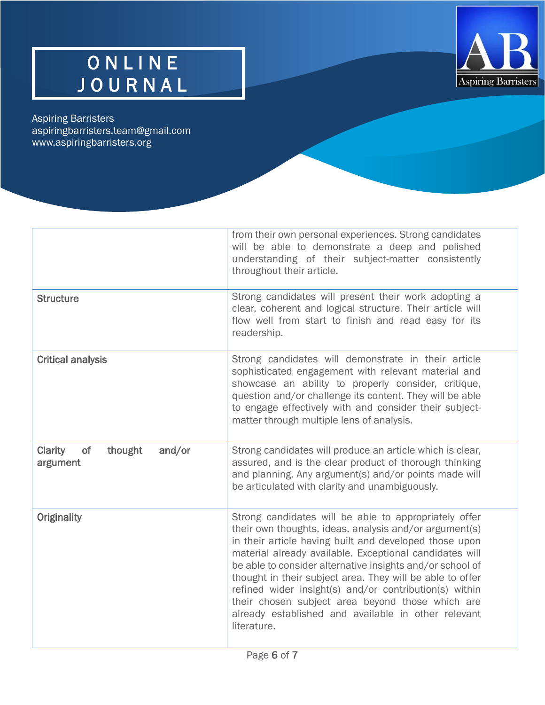

# O N L I N E J O U R N A L

Aspiring Barristers aspiringbarristers.team@gmail.com www.aspiringbarristers.org

|                                                | from their own personal experiences. Strong candidates<br>will be able to demonstrate a deep and polished<br>understanding of their subject-matter consistently<br>throughout their article.                                                                                                                                                                                                                                                                                                                                                       |
|------------------------------------------------|----------------------------------------------------------------------------------------------------------------------------------------------------------------------------------------------------------------------------------------------------------------------------------------------------------------------------------------------------------------------------------------------------------------------------------------------------------------------------------------------------------------------------------------------------|
| <b>Structure</b>                               | Strong candidates will present their work adopting a<br>clear, coherent and logical structure. Their article will<br>flow well from start to finish and read easy for its<br>readership.                                                                                                                                                                                                                                                                                                                                                           |
| <b>Critical analysis</b>                       | Strong candidates will demonstrate in their article<br>sophisticated engagement with relevant material and<br>showcase an ability to properly consider, critique,<br>question and/or challenge its content. They will be able<br>to engage effectively with and consider their subject-<br>matter through multiple lens of analysis.                                                                                                                                                                                                               |
| thought<br>and/or<br>Clarity<br>of<br>argument | Strong candidates will produce an article which is clear,<br>assured, and is the clear product of thorough thinking<br>and planning. Any argument(s) and/or points made will<br>be articulated with clarity and unambiguously.                                                                                                                                                                                                                                                                                                                     |
| <b>Originality</b>                             | Strong candidates will be able to appropriately offer<br>their own thoughts, ideas, analysis and/or argument(s)<br>in their article having built and developed those upon<br>material already available. Exceptional candidates will<br>be able to consider alternative insights and/or school of<br>thought in their subject area. They will be able to offer<br>refined wider insight(s) and/or contribution(s) within<br>their chosen subject area beyond those which are<br>already established and available in other relevant<br>literature. |